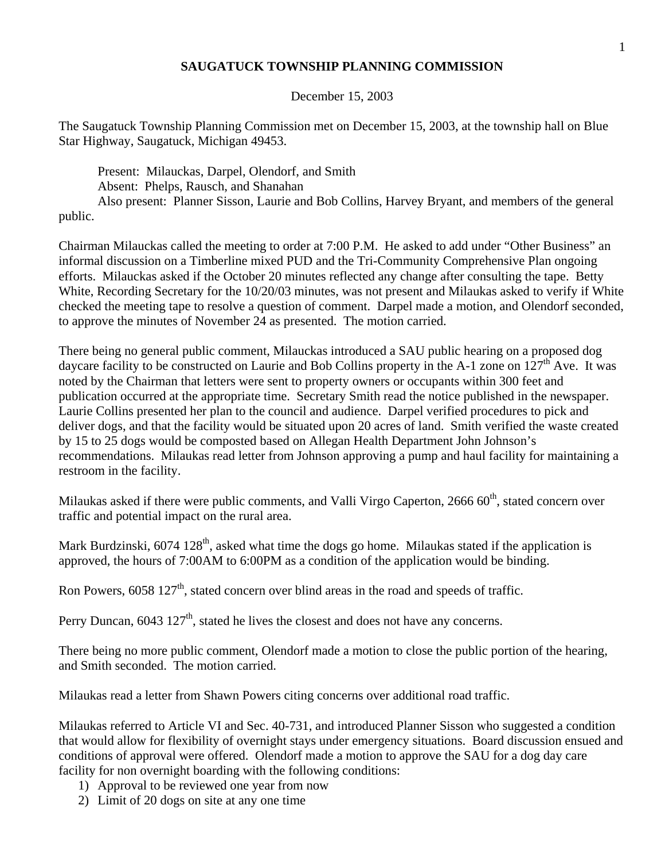# **SAUGATUCK TOWNSHIP PLANNING COMMISSION**

December 15, 2003

The Saugatuck Township Planning Commission met on December 15, 2003, at the township hall on Blue Star Highway, Saugatuck, Michigan 49453.

 Present: Milauckas, Darpel, Olendorf, and Smith Absent: Phelps, Rausch, and Shanahan Also present: Planner Sisson, Laurie and Bob Collins, Harvey Bryant, and members of the general public.

Chairman Milauckas called the meeting to order at 7:00 P.M. He asked to add under "Other Business" an informal discussion on a Timberline mixed PUD and the Tri-Community Comprehensive Plan ongoing efforts. Milauckas asked if the October 20 minutes reflected any change after consulting the tape. Betty White, Recording Secretary for the 10/20/03 minutes, was not present and Milaukas asked to verify if White checked the meeting tape to resolve a question of comment. Darpel made a motion, and Olendorf seconded, to approve the minutes of November 24 as presented. The motion carried.

There being no general public comment, Milauckas introduced a SAU public hearing on a proposed dog daycare facility to be constructed on Laurie and Bob Collins property in the A-1 zone on  $127<sup>th</sup>$  Ave. It was noted by the Chairman that letters were sent to property owners or occupants within 300 feet and publication occurred at the appropriate time. Secretary Smith read the notice published in the newspaper. Laurie Collins presented her plan to the council and audience. Darpel verified procedures to pick and deliver dogs, and that the facility would be situated upon 20 acres of land. Smith verified the waste created by 15 to 25 dogs would be composted based on Allegan Health Department John Johnson's recommendations. Milaukas read letter from Johnson approving a pump and haul facility for maintaining a restroom in the facility.

Milaukas asked if there were public comments, and Valli Virgo Caperton, 2666 60<sup>th</sup>, stated concern over traffic and potential impact on the rural area.

Mark Burdzinski,  $6074$  128<sup>th</sup>, asked what time the dogs go home. Milaukas stated if the application is approved, the hours of 7:00AM to 6:00PM as a condition of the application would be binding.

Ron Powers,  $6058\ 127<sup>th</sup>$ , stated concern over blind areas in the road and speeds of traffic.

Perry Duncan,  $6043 \frac{127^{\text{th}}}{\text{s}}$ , stated he lives the closest and does not have any concerns.

There being no more public comment, Olendorf made a motion to close the public portion of the hearing, and Smith seconded. The motion carried.

Milaukas read a letter from Shawn Powers citing concerns over additional road traffic.

Milaukas referred to Article VI and Sec. 40-731, and introduced Planner Sisson who suggested a condition that would allow for flexibility of overnight stays under emergency situations. Board discussion ensued and conditions of approval were offered. Olendorf made a motion to approve the SAU for a dog day care facility for non overnight boarding with the following conditions:

- 1) Approval to be reviewed one year from now
- 2) Limit of 20 dogs on site at any one time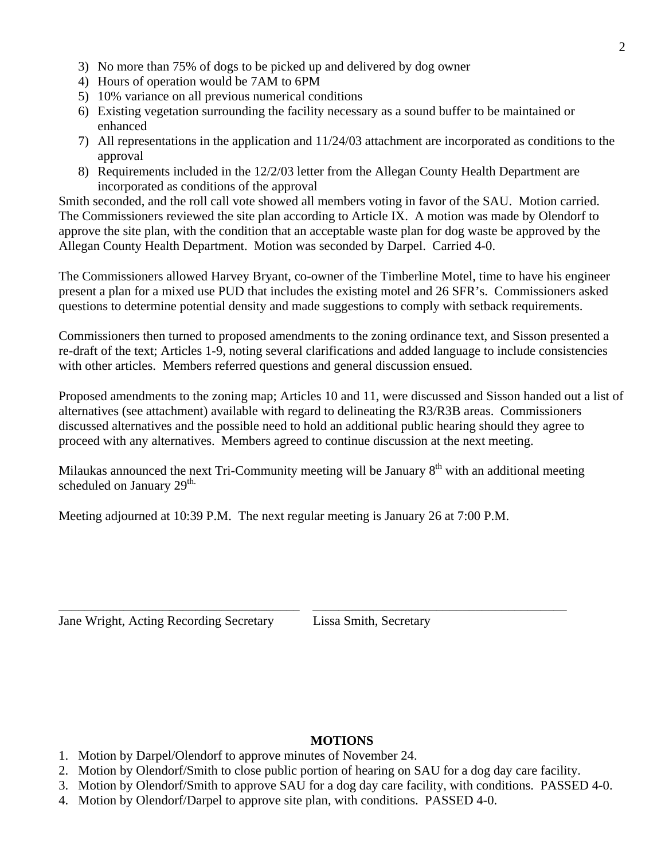- 3) No more than 75% of dogs to be picked up and delivered by dog owner
- 4) Hours of operation would be 7AM to 6PM
- 5) 10% variance on all previous numerical conditions
- 6) Existing vegetation surrounding the facility necessary as a sound buffer to be maintained or enhanced
- 7) All representations in the application and 11/24/03 attachment are incorporated as conditions to the approval
- 8) Requirements included in the 12/2/03 letter from the Allegan County Health Department are incorporated as conditions of the approval

Smith seconded, and the roll call vote showed all members voting in favor of the SAU. Motion carried. The Commissioners reviewed the site plan according to Article IX. A motion was made by Olendorf to approve the site plan, with the condition that an acceptable waste plan for dog waste be approved by the Allegan County Health Department. Motion was seconded by Darpel. Carried 4-0.

The Commissioners allowed Harvey Bryant, co-owner of the Timberline Motel, time to have his engineer present a plan for a mixed use PUD that includes the existing motel and 26 SFR's. Commissioners asked questions to determine potential density and made suggestions to comply with setback requirements.

Commissioners then turned to proposed amendments to the zoning ordinance text, and Sisson presented a re-draft of the text; Articles 1-9, noting several clarifications and added language to include consistencies with other articles. Members referred questions and general discussion ensued.

Proposed amendments to the zoning map; Articles 10 and 11, were discussed and Sisson handed out a list of alternatives (see attachment) available with regard to delineating the R3/R3B areas. Commissioners discussed alternatives and the possible need to hold an additional public hearing should they agree to proceed with any alternatives. Members agreed to continue discussion at the next meeting.

Milaukas announced the next Tri-Community meeting will be January  $8<sup>th</sup>$  with an additional meeting scheduled on January  $29<sup>th</sup>$ .

\_\_\_\_\_\_\_\_\_\_\_\_\_\_\_\_\_\_\_\_\_\_\_\_\_\_\_\_\_\_\_\_\_\_\_\_\_ \_\_\_\_\_\_\_\_\_\_\_\_\_\_\_\_\_\_\_\_\_\_\_\_\_\_\_\_\_\_\_\_\_\_\_\_\_\_\_

Meeting adjourned at 10:39 P.M. The next regular meeting is January 26 at 7:00 P.M.

Jane Wright, Acting Recording Secretary Lissa Smith, Secretary

### **MOTIONS**

- 1. Motion by Darpel/Olendorf to approve minutes of November 24.
- 2. Motion by Olendorf/Smith to close public portion of hearing on SAU for a dog day care facility.
- 3. Motion by Olendorf/Smith to approve SAU for a dog day care facility, with conditions. PASSED 4-0.
- 4. Motion by Olendorf/Darpel to approve site plan, with conditions. PASSED 4-0.